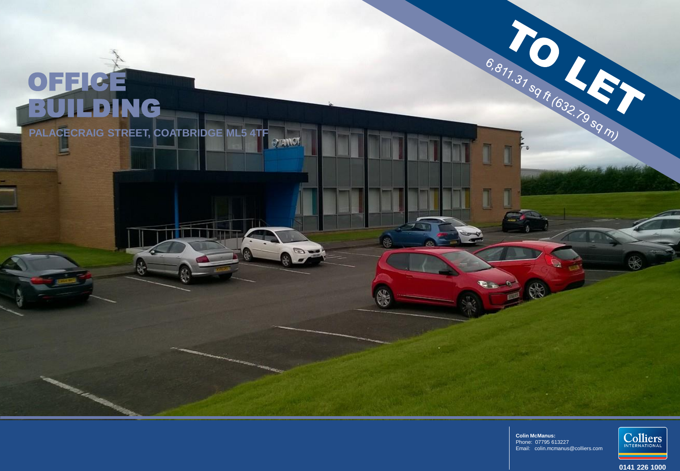# OFFICE BUILDING

**PALACECRAIG STREET, COATBRIDGE ML5 4TFSTANOT** 

> **Colin McManus:** Phone: 07795 613227 Email: colin.mcmanus@colliers.com

 $\rightarrow$ 

 $\begin{picture}(20,20) \put(0,0){\line(1,0){10}} \put(15,0){\line(1,0){10}} \put(15,0){\line(1,0){10}} \put(15,0){\line(1,0){10}} \put(15,0){\line(1,0){10}} \put(15,0){\line(1,0){10}} \put(15,0){\line(1,0){10}} \put(15,0){\line(1,0){10}} \put(15,0){\line(1,0){10}} \put(15,0){\line(1,0){10}} \put(15,0){\line(1,0){10}} \put(15,0){\line(1$ 

**SER** 

₩

6,811.31 sq ft (632.79 sq m)



**0141 226 1000**